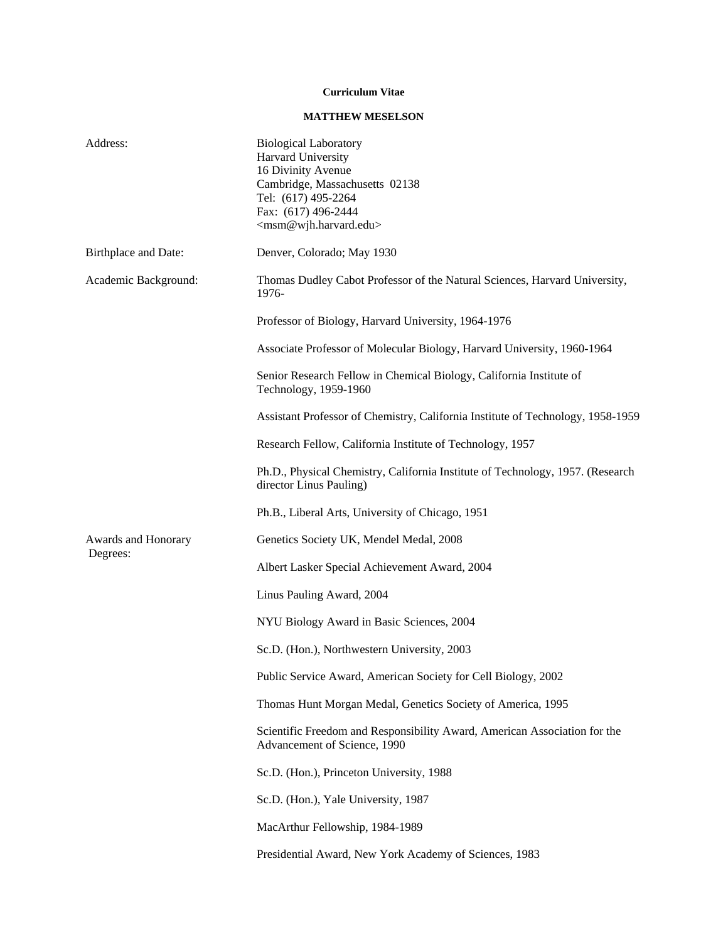## **Curriculum Vitae**

## **MATTHEW MESELSON**

| Address:                        | <b>Biological Laboratory</b><br>Harvard University<br>16 Divinity Avenue<br>Cambridge, Massachusetts 02138<br>Tel: (617) 495-2264<br>Fax: (617) 496-2444<br><msm@wjh.harvard.edu></msm@wjh.harvard.edu> |
|---------------------------------|---------------------------------------------------------------------------------------------------------------------------------------------------------------------------------------------------------|
| Birthplace and Date:            | Denver, Colorado; May 1930                                                                                                                                                                              |
| Academic Background:            | Thomas Dudley Cabot Professor of the Natural Sciences, Harvard University,<br>1976-                                                                                                                     |
|                                 | Professor of Biology, Harvard University, 1964-1976                                                                                                                                                     |
|                                 | Associate Professor of Molecular Biology, Harvard University, 1960-1964                                                                                                                                 |
|                                 | Senior Research Fellow in Chemical Biology, California Institute of<br>Technology, 1959-1960                                                                                                            |
|                                 | Assistant Professor of Chemistry, California Institute of Technology, 1958-1959                                                                                                                         |
|                                 | Research Fellow, California Institute of Technology, 1957                                                                                                                                               |
|                                 | Ph.D., Physical Chemistry, California Institute of Technology, 1957. (Research<br>director Linus Pauling)                                                                                               |
|                                 | Ph.B., Liberal Arts, University of Chicago, 1951                                                                                                                                                        |
| Awards and Honorary<br>Degrees: | Genetics Society UK, Mendel Medal, 2008                                                                                                                                                                 |
|                                 | Albert Lasker Special Achievement Award, 2004                                                                                                                                                           |
|                                 | Linus Pauling Award, 2004                                                                                                                                                                               |
|                                 | NYU Biology Award in Basic Sciences, 2004                                                                                                                                                               |
|                                 | Sc.D. (Hon.), Northwestern University, 2003                                                                                                                                                             |
|                                 | Public Service Award, American Society for Cell Biology, 2002                                                                                                                                           |
|                                 | Thomas Hunt Morgan Medal, Genetics Society of America, 1995                                                                                                                                             |
|                                 | Scientific Freedom and Responsibility Award, American Association for the<br>Advancement of Science, 1990                                                                                               |
|                                 | Sc.D. (Hon.), Princeton University, 1988                                                                                                                                                                |
|                                 | Sc.D. (Hon.), Yale University, 1987                                                                                                                                                                     |
|                                 | MacArthur Fellowship, 1984-1989                                                                                                                                                                         |
|                                 | Presidential Award, New York Academy of Sciences, 1983                                                                                                                                                  |